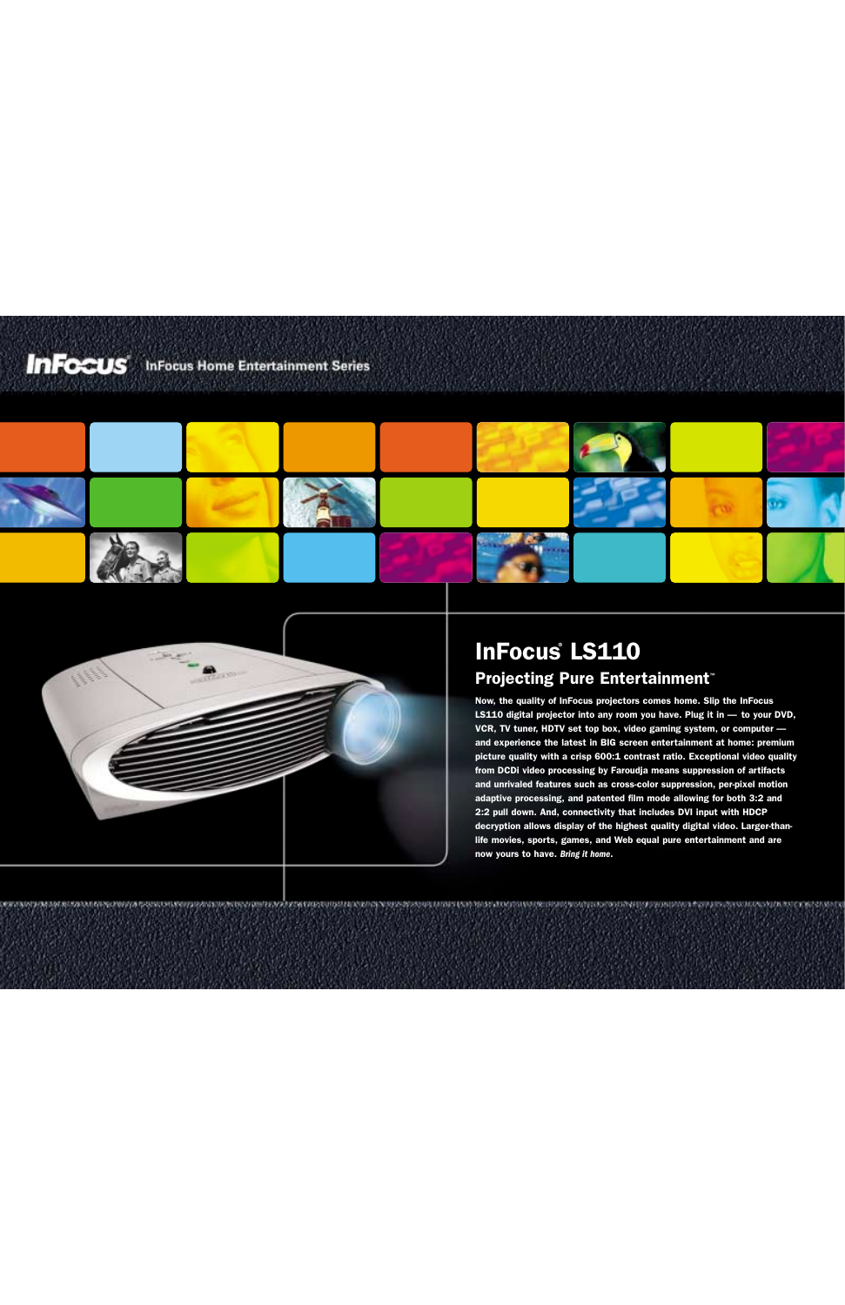## **InFocus** InFocus Home Entertainment Series





# **InFocus LS110**

### **Projecting Pure Entertainment™**

Now, the quality of InFocus projectors comes home. Slip the InFocus LS110 digital projector into any room you have. Plug it in — to your DVD, VCR, TV tuner, HDTV set top box, video gaming system, or computer and experience the latest in BIG screen entertainment at home: premium picture quality with a crisp 600:1 contrast ratio. Exceptional video quality from DCDi video processing by Faroudja means suppression of artifacts and unrivaled features such as cross-color suppression, per-pixel motion adaptive processing, and patented film mode allowing for both 3:2 and 2:2 pull down. And, connectivity that includes DVI input with HDCP decryption allows display of the highest quality digital video. Larger-thanlife movies, sports, games, and Web equal pure entertainment and are now yours to have. *Bring it home*.